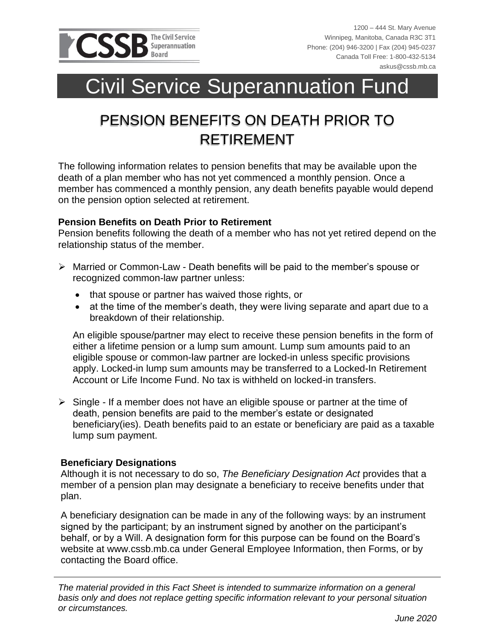

# Civil Service Superannuation Fund

## PENSION BENEFITS ON DEATH PRIOR TO RETIREMENT

The following information relates to pension benefits that may be available upon the death of a plan member who has not yet commenced a monthly pension. Once a member has commenced a monthly pension, any death benefits payable would depend on the pension option selected at retirement.

### **Pension Benefits on Death Prior to Retirement**

Pension benefits following the death of a member who has not yet retired depend on the relationship status of the member.

- ➢ Married or Common-Law Death benefits will be paid to the member's spouse or recognized common-law partner unless:
	- that spouse or partner has waived those rights, or
	- at the time of the member's death, they were living separate and apart due to a breakdown of their relationship.

An eligible spouse/partner may elect to receive these pension benefits in the form of either a lifetime pension or a lump sum amount. Lump sum amounts paid to an eligible spouse or common-law partner are locked-in unless specific provisions apply. Locked-in lump sum amounts may be transferred to a Locked-In Retirement Account or Life Income Fund. No tax is withheld on locked-in transfers.

 $\triangleright$  Single - If a member does not have an eligible spouse or partner at the time of death, pension benefits are paid to the member's estate or designated beneficiary(ies). Death benefits paid to an estate or beneficiary are paid as a taxable lump sum payment.

### **Beneficiary Designations**

Although it is not necessary to do so, *The Beneficiary Designation Act* provides that a member of a pension plan may designate a beneficiary to receive benefits under that plan.

A beneficiary designation can be made in any of the following ways: by an instrument signed by the participant; by an instrument signed by another on the participant's behalf, or by a Will. A designation form for this purpose can be found on the Board's website at www.cssb.mb.ca under General Employee Information, then Forms, or by contacting the Board office.

*The material provided in this Fact Sheet is intended to summarize information on a general basis only and does not replace getting specific information relevant to your personal situation or circumstances.*